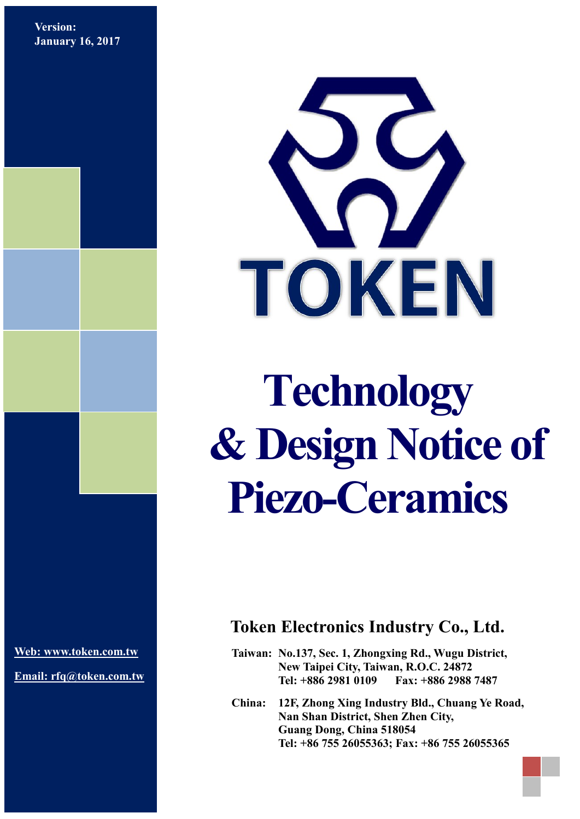**Version: January 16, 2017**



# **Technology & Design Notice of Piezo-Ceramics**

**[Web: www.token.com.tw](http://www.token.com.tw/)**

**Email: rfq@token.com.tw**

## **Token Electronics Industry Co., Ltd.**

**Taiwan: No.137, Sec. 1, Zhongxing Rd., Wugu District, New Taipei City, Taiwan, R.O.C. 24872 Tel: +886 2981 0109 Fax: +886 2988 7487**

**China: 12F, Zhong Xing Industry Bld., Chuang Ye Road, Nan Shan District, Shen Zhen City, Guang Dong, China 518054 Tel: +86 755 26055363; Fax: +86 755 26055365**